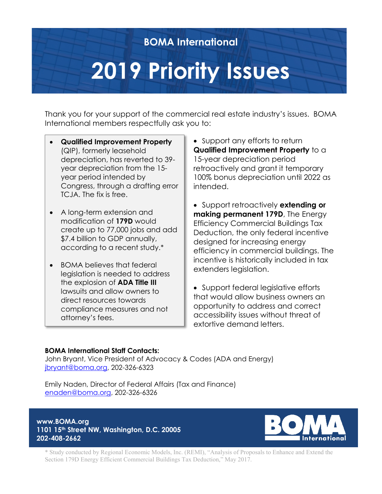### **BOMA International**

# **2019 Priority Issues**

Thank you for your support of the commercial real estate industry's issues. BOMA International members respectfully ask you to:

- **Qualified Improvement Property** (QIP), formerly leasehold depreciation, has reverted to 39 year depreciation from the 15 year period intended by Congress, through a drafting error TCJA. The fix is free.
- A long-term extension and modification of **179D** would create up to 77,000 jobs and add \$7.4 billion to GDP annually, according to a recent study.\*
- BOMA believes that federal legislation is needed to address the explosion of **ADA Title III** lawsuits and allow owners to direct resources towards compliance measures and not attorney's fees.

• Support any efforts to return **Qualified Improvement Property** to a 15-year depreciation period retroactively and grant it temporary 100% bonus depreciation until 2022 as intended.

• Support retroactively **extending or making permanent 179D**, The Energy Efficiency Commercial Buildings Tax Deduction, the only federal incentive designed for increasing energy efficiency in commercial buildings. The incentive is historically included in tax extenders legislation.

• Support federal legislative efforts that would allow business owners an opportunity to address and correct accessibility issues without threat of extortive demand letters.

#### **BOMA International Staff Contacts:**

John Bryant, Vice President of Advocacy & Codes (ADA and Energy) [jbryant@boma.org,](mailto:jbryant@boma.org) 202-326-6323

Emily Naden, Director of Federal Affairs (Tax and Finance) [enaden@boma.org,](mailto:enaden@boma.org) 202-326-6326

**www.BOMA.org 1101 15th Street NW, Washington, D.C. 20005 202-408-2662** 



\* Study conducted by Regional Economic Models, Inc. (REMI), "Analysis of Proposals to Enhance and Extend the Section 179D Energy Efficient Commercial Buildings Tax Deduction," May 2017.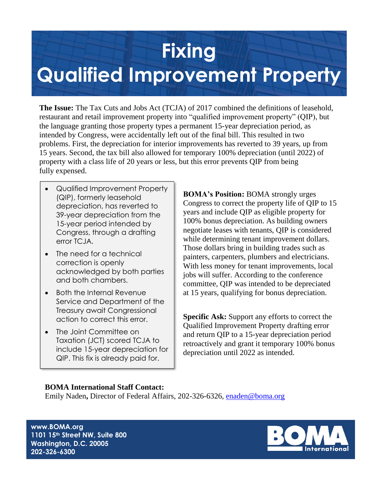### **Fixing**

### **Qualified Improvement Property**

**The Issue:** The Tax Cuts and Jobs Act (TCJA) of 2017 combined the definitions of leasehold, restaurant and retail improvement property into "qualified improvement property" (QIP), but the language granting those property types a permanent 15-year depreciation period, as intended by Congress, were accidentally left out of the final bill. This resulted in two problems. First, the depreciation for interior improvements has reverted to 39 years, up from 15 years. Second, the tax bill also allowed for temporary 100% depreciation (until 2022) of property with a class life of 20 years or less, but this error prevents QIP from being fully expensed.

- Qualified Improvement Property (QIP), formerly leasehold depreciation, has reverted to 39-year depreciation from the 15-year period intended by Congress, through a drafting error TCJA.
- The need for a technical correction is openly acknowledged by both parties and both chambers.
- Both the Internal Revenue Service and Department of the Treasury await Congressional action to correct this error.
- The Joint Committee on Taxation (JCT) scored TCJA to include 15-year depreciation for QIP. This fix is already paid for.

**BOMA's Position:** BOMA strongly urges Congress to correct the property life of QIP to 15 years and include QIP as eligible property for 100% bonus depreciation. As building owners negotiate leases with tenants, QIP is considered while determining tenant improvement dollars. Those dollars bring in building trades such as painters, carpenters, plumbers and electricians. With less money for tenant improvements, local jobs will suffer. According to the conference committee, QIP was intended to be depreciated at 15 years, qualifying for bonus depreciation.

**Specific Ask:** Support any efforts to correct the Qualified Improvement Property drafting error and return QIP to a 15-year depreciation period retroactively and grant it temporary 100% bonus depreciation until 2022 as intended.

#### **BOMA International Staff Contact:**

Emily Naden**,** Director of Federal Affairs, 202-326-6326, [enaden@boma.org](mailto:enaden@boma.org)

**www.BOMA.org 1101 15th Street NW, Suite 800 Washington, D.C. 20005 202-326-6300**

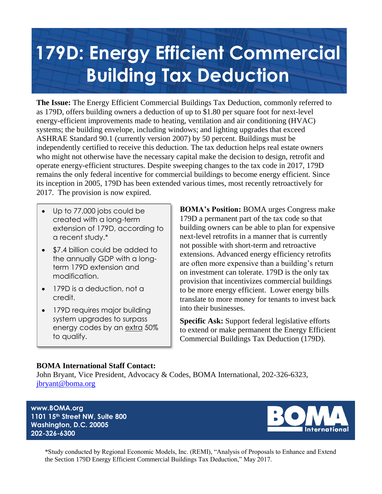# **179D: Energy Efficient Commercial Building Tax Deduction**

**The Issue:** The Energy Efficient Commercial Buildings Tax Deduction, commonly referred to as 179D, offers building owners a deduction of up to \$1.80 per square foot for next-level energy-efficient improvements made to heating, ventilation and air conditioning (HVAC) systems; the building envelope, including windows; and lighting upgrades that exceed ASHRAE Standard 90.1 (currently version 2007) by 50 percent. Buildings must be independently certified to receive this deduction. The tax deduction helps real estate owners who might not otherwise have the necessary capital make the decision to design, retrofit and operate energy-efficient structures. Despite sweeping changes to the tax code in 2017, 179D remains the only federal incentive for commercial buildings to become energy efficient. Since its inception in 2005, 179D has been extended various times, most recently retroactively for 2017. The provision is now expired.

- Up to 77,000 jobs could be created with a long-term extension of 179D, according to a recent study.\*
- \$7.4 billion could be added to the annually GDP with a longterm 179D extension and modification.
- 179D is a deduction, not a credit.
- 179D requires major building system upgrades to surpass energy codes by an extra 50% to qualify.

**BOMA's Position:** BOMA urges Congress make 179D a permanent part of the tax code so that building owners can be able to plan for expensive next-level retrofits in a manner that is currently not possible with short-term and retroactive extensions. Advanced energy efficiency retrofits are often more expensive than a building's return on investment can tolerate. 179D is the only tax provision that incentivizes commercial buildings to be more energy efficient. Lower energy bills translate to more money for tenants to invest back into their businesses.

**Specific Ask:** Support federal legislative efforts to extend or make permanent the Energy Efficient Commercial Buildings Tax Deduction (179D).

#### **BOMA International Staff Contact:**

John Bryant, Vice President, Advocacy & Codes, BOMA International, 202-326-6323, [jbryant@boma.org](mailto:jbryant@boma.org)

**www.BOMA.org 1101 15th Street NW, Suite 800 Washington, D.C. 20005 202-326-6300**



\*Study conducted by Regional Economic Models, Inc. (REMI), "Analysis of Proposals to Enhance and Extend the Section 179D Energy Efficient Commercial Buildings Tax Deduction," May 2017.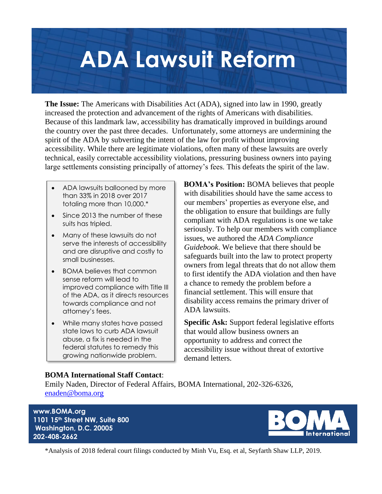# **ADA Lawsuit Reform**

**The Issue:** The Americans with Disabilities Act (ADA), signed into law in 1990, greatly increased the protection and advancement of the rights of Americans with disabilities. Because of this landmark law, accessibility has dramatically improved in buildings around the country over the past three decades. Unfortunately, some attorneys are undermining the spirit of the ADA by subverting the intent of the law for profit without improving accessibility. While there are legitimate violations, often many of these lawsuits are overly technical, easily correctable accessibility violations, pressuring business owners into paying large settlements consisting principally of attorney's fees. This defeats the spirit of the law.

- ADA lawsuits ballooned by more than 33% in 2018 over 2017 totaling more than 10,000.\*
- Since 2013 the number of these suits has tripled.
- Many of these lawsuits do not serve the interests of accessibility and are disruptive and costly to small businesses.
- BOMA believes that common sense reform will lead to improved compliance with Title III of the ADA, as it directs resources towards compliance and not attorney's fees.
- While many states have passed state laws to curb ADA lawsuit abuse, a fix is needed in the federal statutes to remedy this growing nationwide problem.

**BOMA's Position:** BOMA believes that people with disabilities should have the same access to our members' properties as everyone else, and the obligation to ensure that buildings are fully compliant with ADA regulations is one we take seriously. To help our members with compliance issues, we authored the *ADA Compliance Guidebook*. We believe that there should be safeguards built into the law to protect property owners from legal threats that do not allow them to first identify the ADA violation and then have a chance to remedy the problem before a financial settlement. This will ensure that disability access remains the primary driver of ADA lawsuits.

**Specific Ask:** Support federal legislative efforts that would allow business owners an opportunity to address and correct the accessibility issue without threat of extortive demand letters.

#### **BOMA International Staff Contact**:

Emily Naden, Director of Federal Affairs, BOMA International, 202-326-6326, [enaden@boma.org](mailto:enaden@boma.org)

**www.BOMA.org 1101 15th Street NW, Suite 800 Washington, D.C. 20005 202-408-2662** 



\*Analysis of 2018 federal court filings conducted by Minh Vu, Esq. et al, Seyfarth Shaw LLP, 2019.